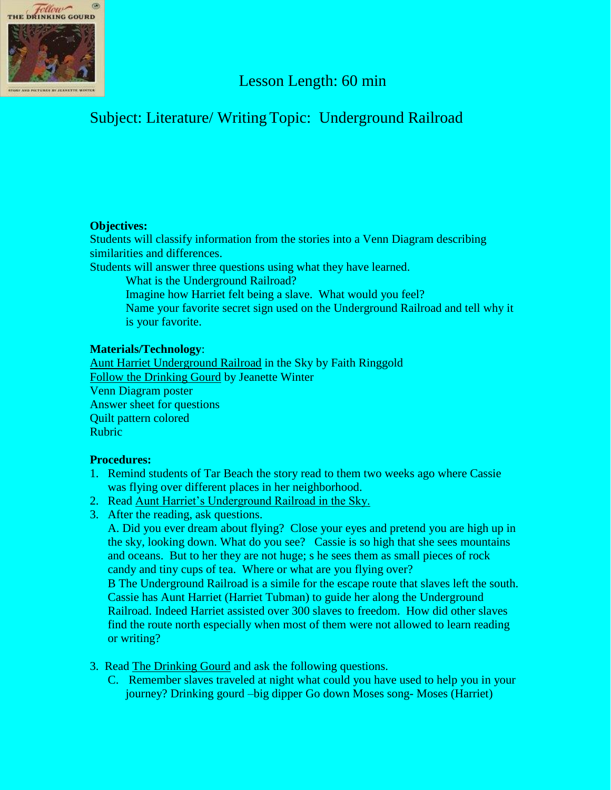

## Lesson Length: 60 min

# Subject: Literature/ Writing Topic: Underground Railroad

## **Objectives:**

Students will classify information from the stories into a Venn Diagram describing similarities and differences.

Students will answer three questions using what they have learned.

What is the Underground Railroad?

- Imagine how Harriet felt being a slave. What would you feel?
- Name your favorite secret sign used on the Underground Railroad and tell why it is your favorite.

### **Materials/Technology**:

Aunt Harriet Underground Railroad in the Sky by Faith Ringgold Follow the Drinking Gourd by Jeanette Winter Venn Diagram poster Answer sheet for questions Quilt pattern colored Rubric

### **Procedures:**

- 1. Remind students of Tar Beach the story read to them two weeks ago where Cassie was flying over different places in her neighborhood.
- 2. Read Aunt Harriet's Underground Railroad in the Sky.
- 3. After the reading, ask questions.

A. Did you ever dream about flying? Close your eyes and pretend you are high up in the sky, looking down. What do you see? Cassie is so high that she sees mountains and oceans. But to her they are not huge; s he sees them as small pieces of rock candy and tiny cups of tea. Where or what are you flying over?

B The Underground Railroad is a simile for the escape route that slaves left the south. Cassie has Aunt Harriet (Harriet Tubman) to guide her along the Underground Railroad. Indeed Harriet assisted over 300 slaves to freedom. How did other slaves find the route north especially when most of them were not allowed to learn reading or writing?

- 3. Read The Drinking Gourd and ask the following questions.
	- C. Remember slaves traveled at night what could you have used to help you in your journey? Drinking gourd –big dipper Go down Moses song- Moses (Harriet)